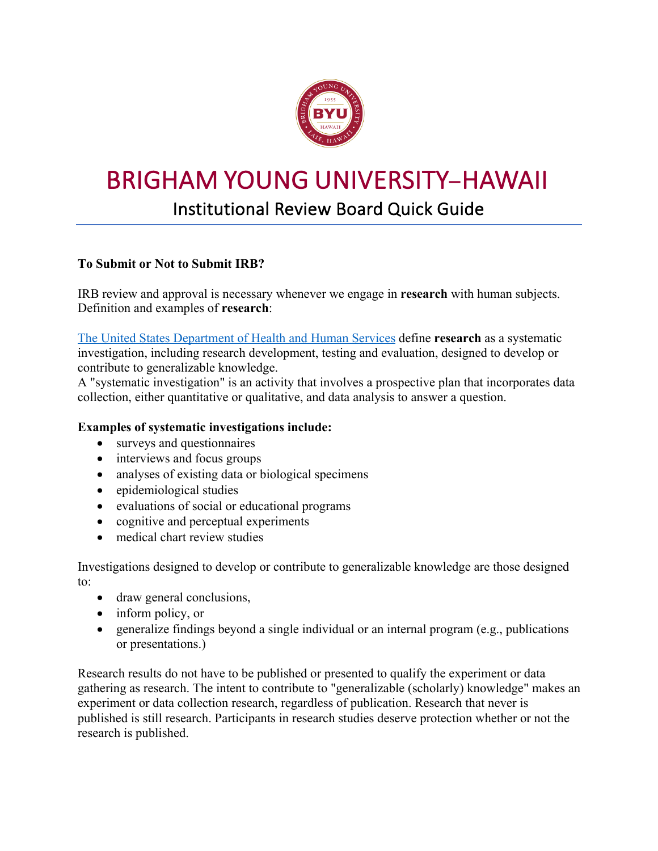

# BRIGHAM YOUNG UNIVERSITY**–**HAWAII

# Institutional Review Board Quick Guide

## **To Submit or Not to Submit IRB?**

IRB review and approval is necessary whenever we engage in **research** with human subjects. Definition and examples of **research**:

The United States Department of Health and Human Services define **research** as a systematic investigation, including research development, testing and evaluation, designed to develop or contribute to generalizable knowledge.

A "systematic investigation" is an activity that involves a prospective plan that incorporates data collection, either quantitative or qualitative, and data analysis to answer a question.

### **Examples of systematic investigations include:**

- surveys and questionnaires
- interviews and focus groups
- analyses of existing data or biological specimens
- epidemiological studies
- evaluations of social or educational programs
- cognitive and perceptual experiments
- medical chart review studies

Investigations designed to develop or contribute to generalizable knowledge are those designed to:

- draw general conclusions,
- inform policy, or
- generalize findings beyond a single individual or an internal program (e.g., publications or presentations.)

Research results do not have to be published or presented to qualify the experiment or data gathering as research. The intent to contribute to "generalizable (scholarly) knowledge" makes an experiment or data collection research, regardless of publication. Research that never is published is still research. Participants in research studies deserve protection whether or not the research is published.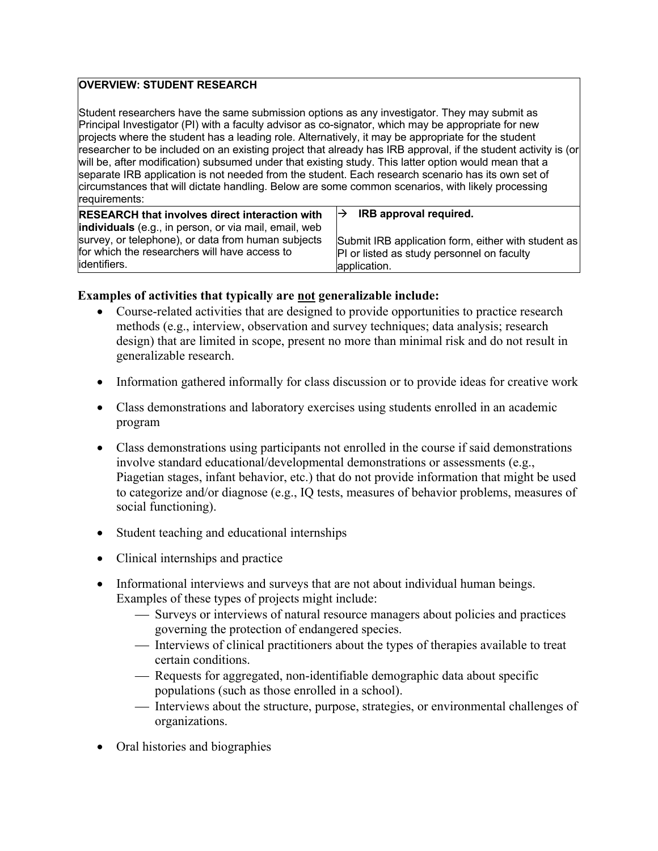#### **OVERVIEW: STUDENT RESEARCH**

Student researchers have the same submission options as any investigator. They may submit as Principal Investigator (PI) with a faculty advisor as co-signator, which may be appropriate for new projects where the student has a leading role. Alternatively, it may be appropriate for the student researcher to be included on an existing project that already has IRB approval, if the student activity is (or will be, after modification) subsumed under that existing study. This latter option would mean that a separate IRB application is not needed from the student. Each research scenario has its own set of circumstances that will dictate handling. Below are some common scenarios, with likely processing requirements:

**RESEARCH that involves direct interaction with individuals** (e.g., in person, or via mail, email, web survey, or telephone), or data from human subjects for which the researchers will have access to identifiers.

#### $\rightarrow$  **IRB approval required.**

Submit IRB application form, either with student as PI or listed as study personnel on faculty application.

#### **Examples of activities that typically are not generalizable include:**

- Course-related activities that are designed to provide opportunities to practice research methods (e.g., interview, observation and survey techniques; data analysis; research design) that are limited in scope, present no more than minimal risk and do not result in generalizable research.
- Information gathered informally for class discussion or to provide ideas for creative work
- Class demonstrations and laboratory exercises using students enrolled in an academic program
- Class demonstrations using participants not enrolled in the course if said demonstrations involve standard educational/developmental demonstrations or assessments (e.g., Piagetian stages, infant behavior, etc.) that do not provide information that might be used to categorize and/or diagnose (e.g., IQ tests, measures of behavior problems, measures of social functioning).
- Student teaching and educational internships
- Clinical internships and practice
- Informational interviews and surveys that are not about individual human beings. Examples of these types of projects might include:
	- ¾ Surveys or interviews of natural resource managers about policies and practices governing the protection of endangered species.
	- ¾ Interviews of clinical practitioners about the types of therapies available to treat certain conditions.
	- ¾ Requests for aggregated, non-identifiable demographic data about specific populations (such as those enrolled in a school).
	- ¾ Interviews about the structure, purpose, strategies, or environmental challenges of organizations.
- Oral histories and biographies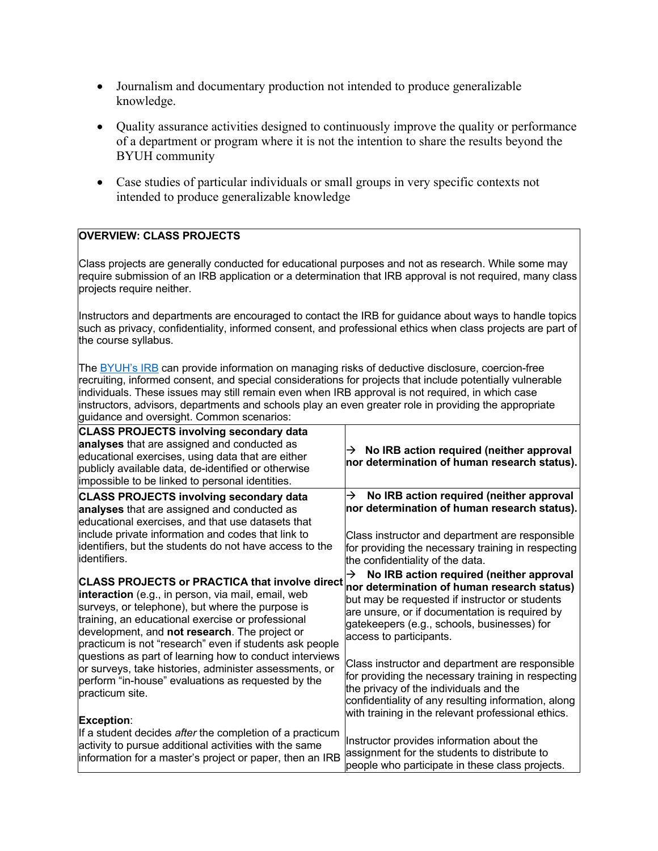- Journalism and documentary production not intended to produce generalizable knowledge.
- Quality assurance activities designed to continuously improve the quality or performance of a department or program where it is not the intention to share the results beyond the BYUH community
- Case studies of particular individuals or small groups in very specific contexts not intended to produce generalizable knowledge

#### **OVERVIEW: CLASS PROJECTS**

Class projects are generally conducted for educational purposes and not as research. While some may require submission of an IRB application or a determination that IRB approval is not required, many class projects require neither.

Instructors and departments are encouraged to contact the IRB for guidance about ways to handle topics such as privacy, confidentiality, informed consent, and professional ethics when class projects are part of the course syllabus.

The BYUH's IRB can provide information on managing risks of deductive disclosure, coercion-free recruiting, informed consent, and special considerations for projects that include potentially vulnerable individuals. These issues may still remain even when IRB approval is not required, in which case instructors, advisors, departments and schools play an even greater role in providing the appropriate guidance and oversight. Common scenarios:

| galaanoo aha ovoloigin. Oommon ooonanoo.                                                                                                                                                                                                                     |                                                                                               |
|--------------------------------------------------------------------------------------------------------------------------------------------------------------------------------------------------------------------------------------------------------------|-----------------------------------------------------------------------------------------------|
| <b>CLASS PROJECTS involving secondary data</b><br>analyses that are assigned and conducted as<br>educational exercises, using data that are either<br>publicly available data, de-identified or otherwise<br>impossible to be linked to personal identities. | No IRB action required (neither approval<br>→<br>nor determination of human research status). |
| <b>CLASS PROJECTS involving secondary data</b>                                                                                                                                                                                                               | No IRB action required (neither approval                                                      |
| analyses that are assigned and conducted as                                                                                                                                                                                                                  | →                                                                                             |
| educational exercises, and that use datasets that                                                                                                                                                                                                            | nor determination of human research status).                                                  |
| include private information and codes that link to                                                                                                                                                                                                           | Class instructor and department are responsible                                               |
| identifiers, but the students do not have access to the                                                                                                                                                                                                      | for providing the necessary training in respecting                                            |
| identifiers.                                                                                                                                                                                                                                                 | the confidentiality of the data.                                                              |
| CLASS PROJECTS or PRACTICA that involve direct $\big _{\text{nor determination of human research status}}\big $                                                                                                                                              | No IRB action required (neither approval                                                      |
| interaction (e.g., in person, via mail, email, web                                                                                                                                                                                                           | $\rightarrow$                                                                                 |
| surveys, or telephone), but where the purpose is                                                                                                                                                                                                             | but may be requested if instructor or students                                                |
| training, an educational exercise or professional                                                                                                                                                                                                            | are unsure, or if documentation is required by                                                |
| development, and not research. The project or                                                                                                                                                                                                                | gatekeepers (e.g., schools, businesses) for                                                   |
| practicum is not "research" even if students ask people                                                                                                                                                                                                      | access to participants.                                                                       |
| questions as part of learning how to conduct interviews                                                                                                                                                                                                      | Class instructor and department are responsible                                               |
| or surveys, take histories, administer assessments, or                                                                                                                                                                                                       | for providing the necessary training in respecting                                            |
| perform "in-house" evaluations as requested by the                                                                                                                                                                                                           | the privacy of the individuals and the                                                        |
| practicum site.                                                                                                                                                                                                                                              | confidentiality of any resulting information, along                                           |
| Exception:                                                                                                                                                                                                                                                   | with training in the relevant professional ethics.                                            |
| If a student decides after the completion of a practicum                                                                                                                                                                                                     | Instructor provides information about the                                                     |
| activity to pursue additional activities with the same                                                                                                                                                                                                       | assignment for the students to distribute to                                                  |
| information for a master's project or paper, then an IRB                                                                                                                                                                                                     | people who participate in these class projects.                                               |